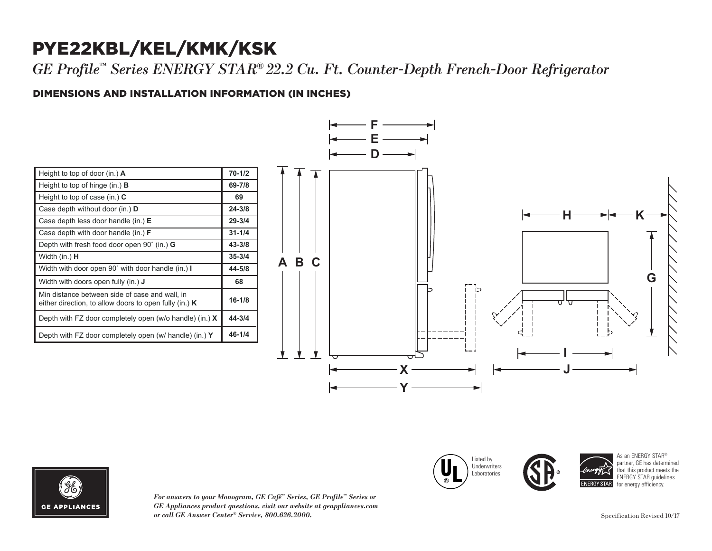## PYE22KBL/KEL/KMK/KSK

*GE Profile™ Series ENERGY STAR® 22.2 Cu. Ft. Counter-Depth French-Door Refrigerator*

## DIMENSIONS AND INSTALLATION INFORMATION (IN INCHES) **I**

| Height to top of door (in.) $\bf{A}$                                                                     | $70 - 1/2$ |
|----------------------------------------------------------------------------------------------------------|------------|
| Height to top of hinge (in.) $\bf{B}$                                                                    | 69-7/8     |
| Height to top of case (in.) $C$                                                                          | 69         |
| Case depth without door (in.) <b>D</b>                                                                   | $24 - 3/8$ |
| Case depth less door handle $(in.)$ E                                                                    | $29 - 3/4$ |
| Case depth with door handle (in.) <b>F</b>                                                               | $31 - 1/4$ |
| Depth with fresh food door open 90° (in.) <b>G</b>                                                       | $43 - 3/8$ |
| Width (in.) <b>H</b>                                                                                     | $35 - 3/4$ |
| Width with door open 90° with door handle (in.) I                                                        | 44-5/8     |
| Width with doors open fully (in.) <b>J</b>                                                               | 68         |
| Min distance between side of case and wall, in<br>either direction, to allow doors to open fully (in.) K | $16 - 1/8$ |
| Depth with FZ door completely open (w/o handle) (in.) $X$                                                | 44-3/4     |
| Depth with FZ door completely open (w/ handle) (in.) $Y$                                                 | $46 - 1/4$ |



Listed by **Underwriters** Laboratories

Case depth without door (in.) **D** Case depth less door handle (in.) **E** Case depth with door handle (in.) **F**



*For answers to your Monogram, GE Café™ Series, GE Profile™ Series or*   $GE$  *Appliances product questions, visit our website at geappliances.com or call GE Answer Center® Service, 800.626.2000.* Specification Revised 10/17

As an ENERGY STAR<sup>®</sup> partner, GE has determined that this product meets the ENERGY STAR guidelines for energy efficiency.

**24-3/8 29-3/4 31-1/4**